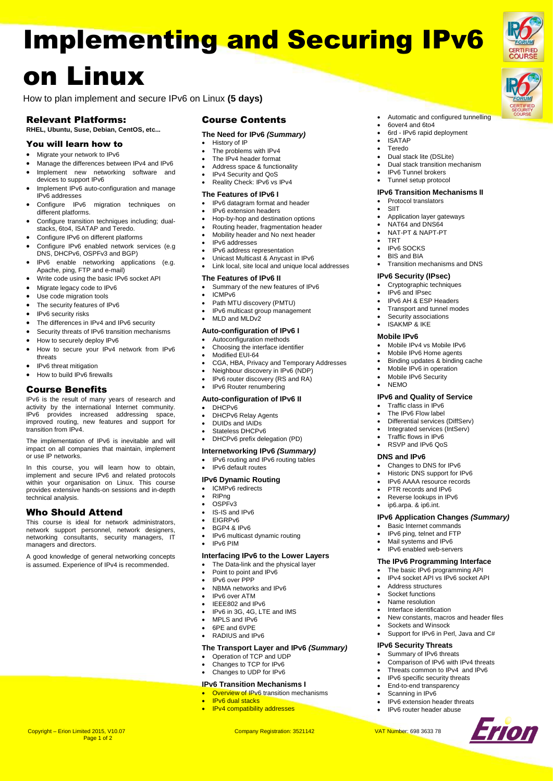# Implementing and Securing IPv6 on Linux

How to plan implement and secure IPv6 on Linux **(5 days)**

# Relevant Platforms:

## **RHEL, Ubuntu, Suse, Debian, CentOS, etc...**

## You will learn how to

- Migrate your network to IPv6
- Manage the differences between IPv4 and IPv6 Implement new networking software and
- devices to support IPv6
- Implement IPv6 auto-configuration and manage IPv6 addresses
- Configure IPv6 migration techniques on different platforms.
- Configure transition techniques including; dualstacks, 6to4, ISATAP and Teredo.
- Configure IPv6 on different platforms
- Configure IPv6 enabled network services (e.g DNS, DHCPv6, OSPFv3 and BGP)
- IPv6 enable networking applications (e.g. Apache, ping, FTP and e-mail)
- Write code using the basic IPv6 socket API
- Migrate legacy code to IPv6
- Use code migration tools
- The security features of IPv6
- IPv6 security risks
- The differences in IPv4 and IPv6 security
- Security threats of IPv6 transition mechanisms
- How to securely deploy IPv6
- How to secure your IPv4 network from IPv6 threats
- IPv6 threat mitigation
- How to build IPv6 firewalls

#### Course Benefits

IPv6 is the result of many years of research and activity by the international Internet community. IPv6 provides increased addressing space, improved routing, new features and support for transition from IPv4.

The implementation of IPv6 is inevitable and will impact on all companies that maintain, implement or use IP networks.

In this course, you will learn how to obtain, implement and secure IPv6 and related protocols within your organisation on Linux. This course provides extensive hands-on sessions and in-depth technical analysis.

## Who Should Attend

This course is ideal for network administrators, network support personnel, network designers, networking consultants, security managers, IT managers and directors.

A good knowledge of general networking concepts is assumed. Experience of IPv4 is recommended.

#### Course Contents

## **The Need for IPv6** *(Summary)*

Automatic and configured tunnelling

 6over4 and 6to4 6rd - IPv6 rapid deployment

 Dual stack lite (DSLite) Dual stack transition mechanism

Application layer gateways NAT64 and DNS64 NAT-PT & NAPT-PT

Transition mechanisms and DNS

 Mobile IPv4 vs Mobile IPv6 Mobile IPv6 Home agents Binding updates & binding cache Mobile IPv6 in operation Mobile IPv6 Security

**IPv6 and Quality of Service** Traffic class in IPv6 The IPv6 Flow label Differential services (DiffServ) Integrated services (IntServ) Traffic flows in IPv6 RSVP and IPv6 QoS

> Changes to DNS for IPv6 Historic DNS support for IPv6 IPv6 AAAA resource records PTR records and IPv6 Reverse lookups in IPv6 ip6.arpa. & ip6.int.

 Basic Internet commands IPv6 ping, telnet and FTP Mail systems and IPv6 IPv6 enabled web-servers **The IPv6 Programming Interface** The basic IPv6 programming API IPv4 socket API vs IPv6 socket API

 Address structures Socket functions Name resolution Interface identification

Sockets and Winsock

**IPv6 Security Threats** Summary of IPv6 threats

**IPv6 Application Changes** *(Summary)*

New constants, macros and header files

Support for IPv6 in Perl, Java and C#

 Comparison of IPv6 with IPv4 threats Threats common to IPv4 and IPv6 IPv6 specific security threats End-to-end transparency Scanning in IPv6

Erion

 IPv6 extension header threats IPv6 router header abuse

**IPv6 Security (IPsec)** Cryptographic techniques IPv6 and IPsec IPv6 AH & ESP Headers Transport and tunnel modes Security associations ISAKMP & IKE **Mobile IPv6**

 IPv6 Tunnel brokers Tunnel setup protocol **IPv6 Transition Mechanisms II** Protocol translators

 ISATAP Teredo

**SIIT** 

 TRT **.** IPv6 SOCKS BIS and BIA

**NEMO** 

**DNS and IPv6**

- History of IP
- The problems with IPv4
- The IPv4 header format
- Address space & functionality
- IPv4 Security and QoS Reality Check: IPv6 vs IPv4
- 

## **The Features of IPv6 I**

- IPv6 datagram format and header
- IPv6 extension headers
- Hop-by-hop and destination options Routing header, fragmentation header
- Mobility header and No next header
- IPv6 addresses
- 
- IPv6 address representation Unicast Multicast & Anycast in IPv6
- Link local, site local and unique local addresses

#### **The Features of IPv6 II**

- Summary of the new features of IPv6
- ICMPv6
- Path MTU discovery (PMTU)
- IPv6 multicast group management
- MLD and MLDv2

#### **Auto-configuration of IPv6 I**

- Autoconfiguration methods
- Choosing the interface identifier
- Modified EUI-64
- CGA, HBA, Privacy and Temporary Addresses
- Neighbour discovery in IPv6 (NDP)
- IPv6 router discovery (RS and RA) IPv6 Router renumbering

# **Auto-configuration of IPv6 II**

- DHCPv6
- 
- DHCPv6 Relay Agents DUIDs and IAIDs
- Stateless DHCPv6
- DHCPv6 prefix delegation (PD)
- 
- **Internetworking IPv6** *(Summary)*
- IPv6 routing and IPv6 routing tables
- IPv6 default routes

#### **IPv6 Dynamic Routing**

- ICMPv6 redirects
- RIPng
- OSPFv3
- IS-IS and IPv6 EIGRPv6
- BGP4 & IPv6
- 
- IPv6 multicast dynamic routing IPv6 PIM

#### **Interfacing IPv6 to the Lower Layers**

- The Data-link and the physical layer
- Point to point and IPv6
- IPv6 over PPP
- NBMA networks and IPv6
- IPv6 over ATM
- IEEE802 and IPv6
- IPv6 in 3G, 4G, LTE and IMS
- MPLS and IPv6
- 6PE and 6VPE RADIUS and IPv6
- 

#### **The Transport Layer and IPv6** *(Summary)* Operation of TCP and UDP

- Changes to TCP for IPv6
- Changes to UDP for IPv6

#### **IPv6 Transition Mechanisms I**

- **Overview of IPv6** transition mechanisms
- IPv6 dual stacks
- IPv4 compatibility addresses